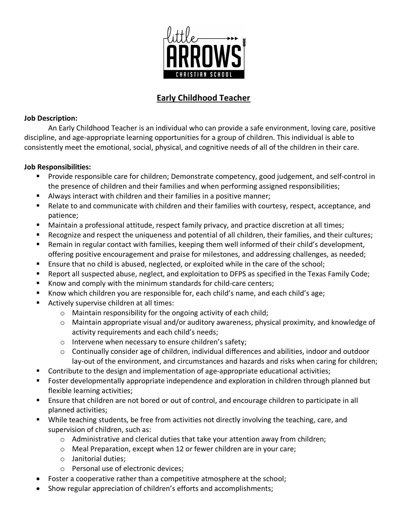

## **Early Childhood Teacher**

## **Job Description:**

An Early Childhood Teacher is an individual who can provide a safe environment, loving care, positive discipline, and age-appropriate learning opportunities for a group of children. This individual is able to consistently meet the emotional, social, physical, and cognitive needs of all of the children in their care.

## **Job Responsibilities:**

- Provide responsible care for children; Demonstrate competency, good judgement, and self-control in the presence of children and their families and when performing assigned responsibilities;
- Always interact with children and their families in a positive manner;
- Relate to and communicate with children and their families with courtesy, respect, acceptance, and patience;
- Maintain a professional attitude, respect family privacy, and practice discretion at all times;
- § Recognize and respect the uniqueness and potential of all children, their families, and their cultures;
- Remain in regular contact with families, keeping them well informed of their child's development, offering positive encouragement and praise for milestones, and addressing challenges, as needed;
- Ensure that no child is abused, neglected, or exploited while in the care of the school;
- § Report all suspected abuse, neglect, and exploitation to DFPS as specified in the Texas Family Code;
- § Know and comply with the minimum standards for child-care centers;
- § Know which children you are responsible for, each child's name, and each child's age;
- Actively supervise children at all times:
	- o Maintain responsibility for the ongoing activity of each child;
	- o Maintain appropriate visual and/or auditory awareness, physical proximity, and knowledge of activity requirements and each child's needs;
	- o Intervene when necessary to ensure children's safety;
	- $\circ$  Continually consider age of children, individual differences and abilities, indoor and outdoor lay-out of the environment, and circumstances and hazards and risks when caring for children;
- Contribute to the design and implementation of age-appropriate educational activities;
- Foster developmentally appropriate independence and exploration in children through planned but flexible learning activities;
- Ensure that children are not bored or out of control, and encourage children to participate in all planned activities;
- While teaching students, be free from activities not directly involving the teaching, care, and supervision of children, such as:
	- $\circ$  Administrative and clerical duties that take your attention away from children;
	- o Meal Preparation, except when 12 or fewer children are in your care;
	- o Janitorial duties;
	- o Personal use of electronic devices;
- Foster a cooperative rather than a competitive atmosphere at the school;
- Show regular appreciation of children's efforts and accomplishments;